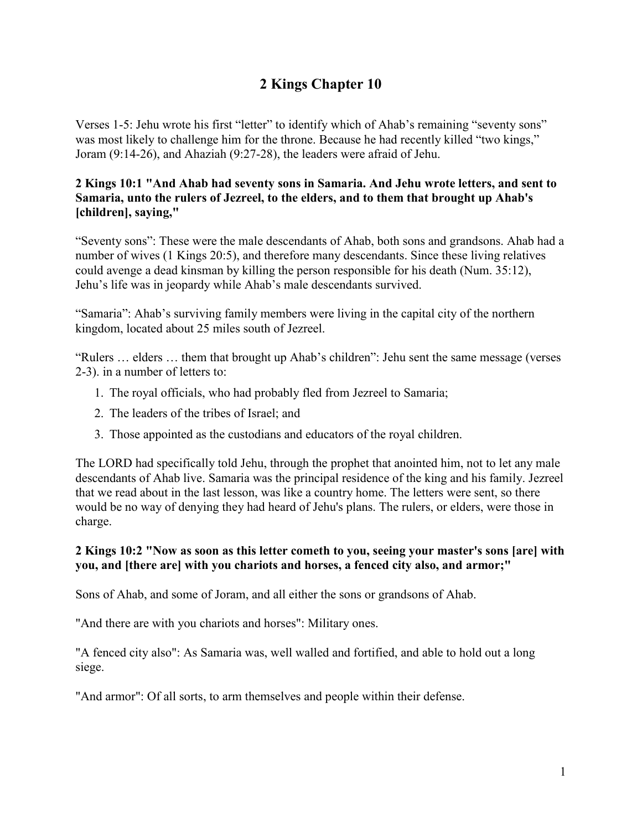# **2 Kings Chapter 10**

Verses 1-5: Jehu wrote his first "letter" to identify which of Ahab's remaining "seventy sons" was most likely to challenge him for the throne. Because he had recently killed "two kings," Joram (9:14-26), and Ahaziah (9:27-28), the leaders were afraid of Jehu.

# **2 Kings 10:1 "And Ahab had seventy sons in Samaria. And Jehu wrote letters, and sent to Samaria, unto the rulers of Jezreel, to the elders, and to them that brought up Ahab's [children], saying,"**

"Seventy sons": These were the male descendants of Ahab, both sons and grandsons. Ahab had a number of wives (1 Kings 20:5), and therefore many descendants. Since these living relatives could avenge a dead kinsman by killing the person responsible for his death (Num. 35:12), Jehu's life was in jeopardy while Ahab's male descendants survived.

"Samaria": Ahab's surviving family members were living in the capital city of the northern kingdom, located about 25 miles south of Jezreel.

"Rulers … elders … them that brought up Ahab's children": Jehu sent the same message (verses 2-3). in a number of letters to:

- 1. The royal officials, who had probably fled from Jezreel to Samaria;
- 2. The leaders of the tribes of Israel; and
- 3. Those appointed as the custodians and educators of the royal children.

The LORD had specifically told Jehu, through the prophet that anointed him, not to let any male descendants of Ahab live. Samaria was the principal residence of the king and his family. Jezreel that we read about in the last lesson, was like a country home. The letters were sent, so there would be no way of denying they had heard of Jehu's plans. The rulers, or elders, were those in charge.

# **2 Kings 10:2 "Now as soon as this letter cometh to you, seeing your master's sons [are] with you, and [there are] with you chariots and horses, a fenced city also, and armor;"**

Sons of Ahab, and some of Joram, and all either the sons or grandsons of Ahab.

"And there are with you chariots and horses": Military ones.

"A fenced city also": As Samaria was, well walled and fortified, and able to hold out a long siege.

"And armor": Of all sorts, to arm themselves and people within their defense.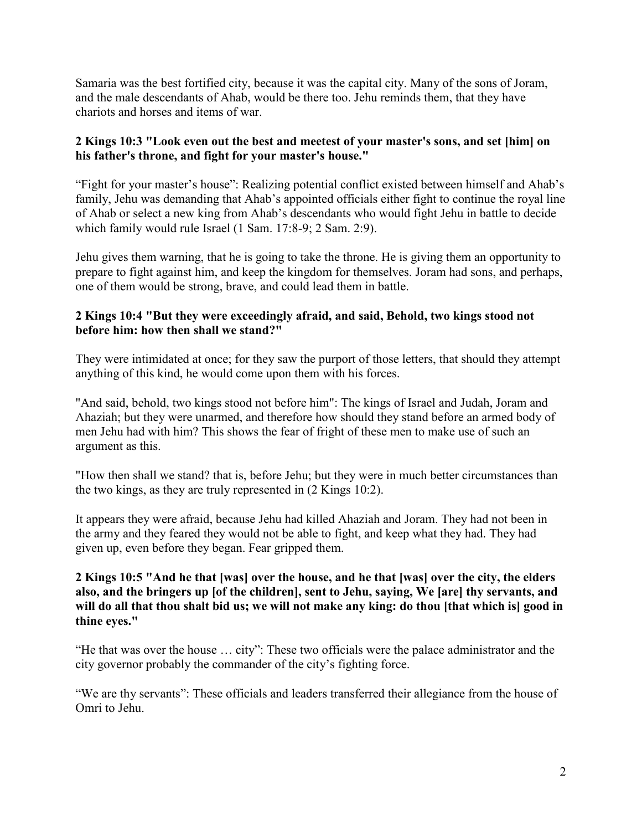Samaria was the best fortified city, because it was the capital city. Many of the sons of Joram, and the male descendants of Ahab, would be there too. Jehu reminds them, that they have chariots and horses and items of war.

# **2 Kings 10:3 "Look even out the best and meetest of your master's sons, and set [him] on his father's throne, and fight for your master's house."**

"Fight for your master's house": Realizing potential conflict existed between himself and Ahab's family, Jehu was demanding that Ahab's appointed officials either fight to continue the royal line of Ahab or select a new king from Ahab's descendants who would fight Jehu in battle to decide which family would rule Israel (1 Sam. 17:8-9; 2 Sam. 2:9).

Jehu gives them warning, that he is going to take the throne. He is giving them an opportunity to prepare to fight against him, and keep the kingdom for themselves. Joram had sons, and perhaps, one of them would be strong, brave, and could lead them in battle.

# **2 Kings 10:4 "But they were exceedingly afraid, and said, Behold, two kings stood not before him: how then shall we stand?"**

They were intimidated at once; for they saw the purport of those letters, that should they attempt anything of this kind, he would come upon them with his forces.

"And said, behold, two kings stood not before him": The kings of Israel and Judah, Joram and Ahaziah; but they were unarmed, and therefore how should they stand before an armed body of men Jehu had with him? This shows the fear of fright of these men to make use of such an argument as this.

"How then shall we stand? that is, before Jehu; but they were in much better circumstances than the two kings, as they are truly represented in (2 Kings 10:2).

It appears they were afraid, because Jehu had killed Ahaziah and Joram. They had not been in the army and they feared they would not be able to fight, and keep what they had. They had given up, even before they began. Fear gripped them.

## **2 Kings 10:5 "And he that [was] over the house, and he that [was] over the city, the elders also, and the bringers up [of the children], sent to Jehu, saying, We [are] thy servants, and will do all that thou shalt bid us; we will not make any king: do thou [that which is] good in thine eyes."**

"He that was over the house … city": These two officials were the palace administrator and the city governor probably the commander of the city's fighting force.

"We are thy servants": These officials and leaders transferred their allegiance from the house of Omri to Jehu.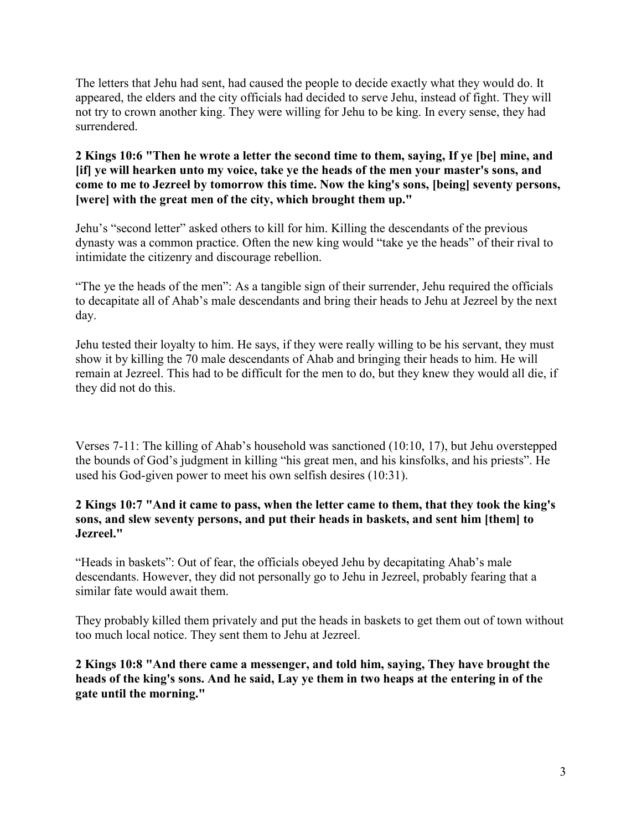The letters that Jehu had sent, had caused the people to decide exactly what they would do. It appeared, the elders and the city officials had decided to serve Jehu, instead of fight. They will not try to crown another king. They were willing for Jehu to be king. In every sense, they had surrendered.

## **2 Kings 10:6 "Then he wrote a letter the second time to them, saying, If ye [be] mine, and [if] ye will hearken unto my voice, take ye the heads of the men your master's sons, and come to me to Jezreel by tomorrow this time. Now the king's sons, [being] seventy persons, [were] with the great men of the city, which brought them up."**

Jehu's "second letter" asked others to kill for him. Killing the descendants of the previous dynasty was a common practice. Often the new king would "take ye the heads" of their rival to intimidate the citizenry and discourage rebellion.

"The ye the heads of the men": As a tangible sign of their surrender, Jehu required the officials to decapitate all of Ahab's male descendants and bring their heads to Jehu at Jezreel by the next day.

Jehu tested their loyalty to him. He says, if they were really willing to be his servant, they must show it by killing the 70 male descendants of Ahab and bringing their heads to him. He will remain at Jezreel. This had to be difficult for the men to do, but they knew they would all die, if they did not do this.

Verses 7-11: The killing of Ahab's household was sanctioned (10:10, 17), but Jehu overstepped the bounds of God's judgment in killing "his great men, and his kinsfolks, and his priests". He used his God-given power to meet his own selfish desires (10:31).

# **2 Kings 10:7 "And it came to pass, when the letter came to them, that they took the king's sons, and slew seventy persons, and put their heads in baskets, and sent him [them] to Jezreel."**

"Heads in baskets": Out of fear, the officials obeyed Jehu by decapitating Ahab's male descendants. However, they did not personally go to Jehu in Jezreel, probably fearing that a similar fate would await them.

They probably killed them privately and put the heads in baskets to get them out of town without too much local notice. They sent them to Jehu at Jezreel.

**2 Kings 10:8 "And there came a messenger, and told him, saying, They have brought the heads of the king's sons. And he said, Lay ye them in two heaps at the entering in of the gate until the morning."**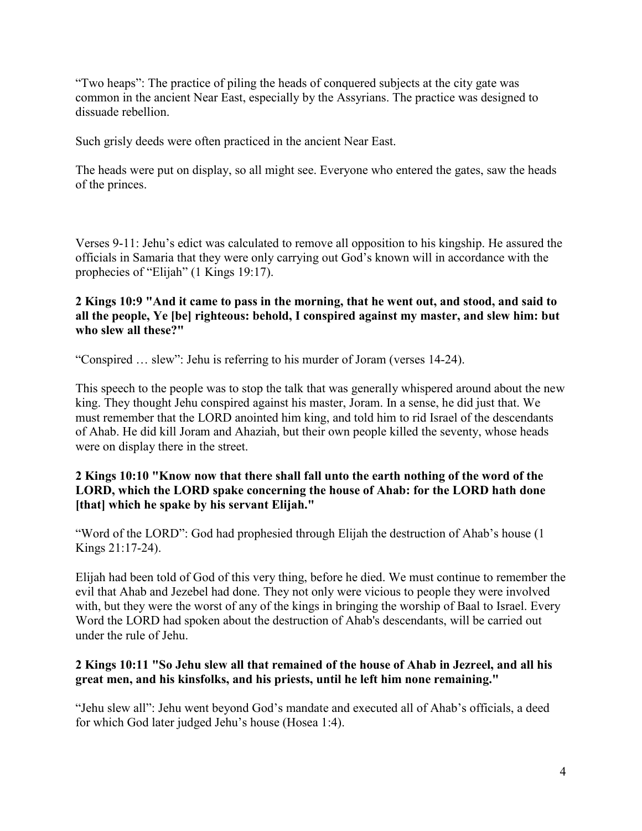"Two heaps": The practice of piling the heads of conquered subjects at the city gate was common in the ancient Near East, especially by the Assyrians. The practice was designed to dissuade rebellion.

Such grisly deeds were often practiced in the ancient Near East.

The heads were put on display, so all might see. Everyone who entered the gates, saw the heads of the princes.

Verses 9-11: Jehu's edict was calculated to remove all opposition to his kingship. He assured the officials in Samaria that they were only carrying out God's known will in accordance with the prophecies of "Elijah" (1 Kings 19:17).

# **2 Kings 10:9 "And it came to pass in the morning, that he went out, and stood, and said to all the people, Ye [be] righteous: behold, I conspired against my master, and slew him: but who slew all these?"**

"Conspired … slew": Jehu is referring to his murder of Joram (verses 14-24).

This speech to the people was to stop the talk that was generally whispered around about the new king. They thought Jehu conspired against his master, Joram. In a sense, he did just that. We must remember that the LORD anointed him king, and told him to rid Israel of the descendants of Ahab. He did kill Joram and Ahaziah, but their own people killed the seventy, whose heads were on display there in the street.

# **2 Kings 10:10 "Know now that there shall fall unto the earth nothing of the word of the LORD, which the LORD spake concerning the house of Ahab: for the LORD hath done [that] which he spake by his servant Elijah."**

"Word of the LORD": God had prophesied through Elijah the destruction of Ahab's house (1 Kings 21:17-24).

Elijah had been told of God of this very thing, before he died. We must continue to remember the evil that Ahab and Jezebel had done. They not only were vicious to people they were involved with, but they were the worst of any of the kings in bringing the worship of Baal to Israel. Every Word the LORD had spoken about the destruction of Ahab's descendants, will be carried out under the rule of Jehu.

# **2 Kings 10:11 "So Jehu slew all that remained of the house of Ahab in Jezreel, and all his great men, and his kinsfolks, and his priests, until he left him none remaining."**

"Jehu slew all": Jehu went beyond God's mandate and executed all of Ahab's officials, a deed for which God later judged Jehu's house (Hosea 1:4).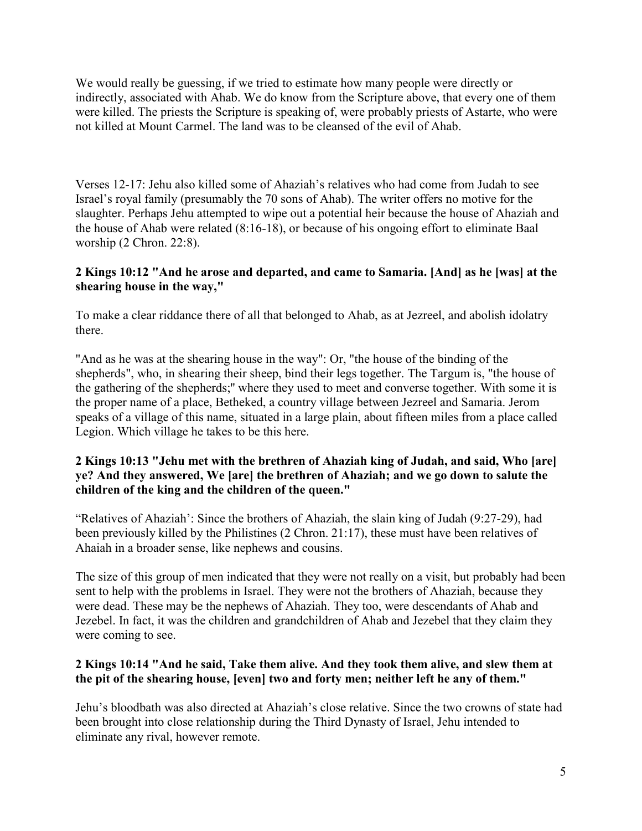We would really be guessing, if we tried to estimate how many people were directly or indirectly, associated with Ahab. We do know from the Scripture above, that every one of them were killed. The priests the Scripture is speaking of, were probably priests of Astarte, who were not killed at Mount Carmel. The land was to be cleansed of the evil of Ahab.

Verses 12-17: Jehu also killed some of Ahaziah's relatives who had come from Judah to see Israel's royal family (presumably the 70 sons of Ahab). The writer offers no motive for the slaughter. Perhaps Jehu attempted to wipe out a potential heir because the house of Ahaziah and the house of Ahab were related (8:16-18), or because of his ongoing effort to eliminate Baal worship (2 Chron. 22:8).

# **2 Kings 10:12 "And he arose and departed, and came to Samaria. [And] as he [was] at the shearing house in the way,"**

To make a clear riddance there of all that belonged to Ahab, as at Jezreel, and abolish idolatry there.

"And as he was at the shearing house in the way": Or, "the house of the binding of the shepherds", who, in shearing their sheep, bind their legs together. The Targum is, "the house of the gathering of the shepherds;'' where they used to meet and converse together. With some it is the proper name of a place, Betheked, a country village between Jezreel and Samaria. Jerom speaks of a village of this name, situated in a large plain, about fifteen miles from a place called Legion. Which village he takes to be this here.

## **2 Kings 10:13 "Jehu met with the brethren of Ahaziah king of Judah, and said, Who [are] ye? And they answered, We [are] the brethren of Ahaziah; and we go down to salute the children of the king and the children of the queen."**

"Relatives of Ahaziah': Since the brothers of Ahaziah, the slain king of Judah (9:27-29), had been previously killed by the Philistines (2 Chron. 21:17), these must have been relatives of Ahaiah in a broader sense, like nephews and cousins.

The size of this group of men indicated that they were not really on a visit, but probably had been sent to help with the problems in Israel. They were not the brothers of Ahaziah, because they were dead. These may be the nephews of Ahaziah. They too, were descendants of Ahab and Jezebel. In fact, it was the children and grandchildren of Ahab and Jezebel that they claim they were coming to see.

# **2 Kings 10:14 "And he said, Take them alive. And they took them alive, and slew them at the pit of the shearing house, [even] two and forty men; neither left he any of them."**

Jehu's bloodbath was also directed at Ahaziah's close relative. Since the two crowns of state had been brought into close relationship during the Third Dynasty of Israel, Jehu intended to eliminate any rival, however remote.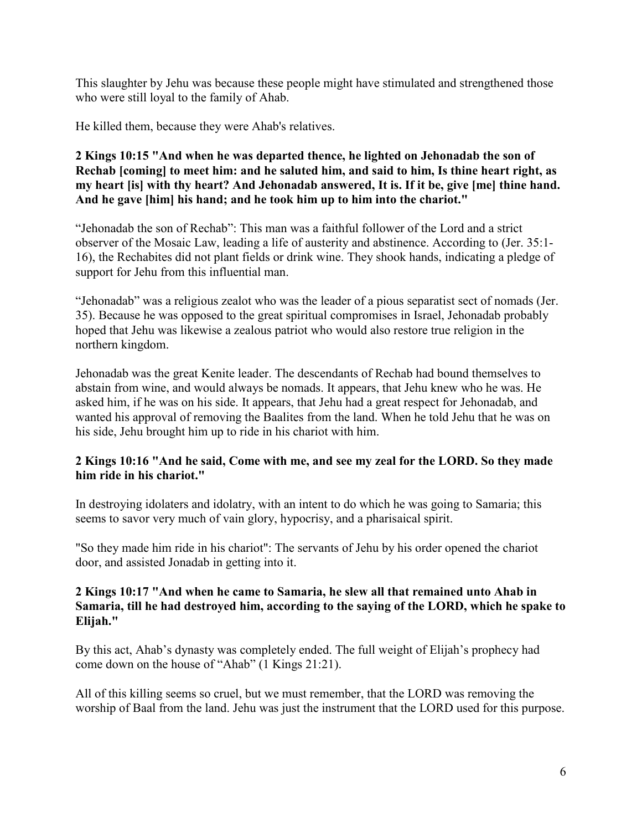This slaughter by Jehu was because these people might have stimulated and strengthened those who were still loyal to the family of Ahab.

He killed them, because they were Ahab's relatives.

## **2 Kings 10:15 "And when he was departed thence, he lighted on Jehonadab the son of Rechab [coming] to meet him: and he saluted him, and said to him, Is thine heart right, as my heart [is] with thy heart? And Jehonadab answered, It is. If it be, give [me] thine hand. And he gave [him] his hand; and he took him up to him into the chariot."**

"Jehonadab the son of Rechab": This man was a faithful follower of the Lord and a strict observer of the Mosaic Law, leading a life of austerity and abstinence. According to (Jer. 35:1- 16), the Rechabites did not plant fields or drink wine. They shook hands, indicating a pledge of support for Jehu from this influential man.

"Jehonadab" was a religious zealot who was the leader of a pious separatist sect of nomads (Jer. 35). Because he was opposed to the great spiritual compromises in Israel, Jehonadab probably hoped that Jehu was likewise a zealous patriot who would also restore true religion in the northern kingdom.

Jehonadab was the great Kenite leader. The descendants of Rechab had bound themselves to abstain from wine, and would always be nomads. It appears, that Jehu knew who he was. He asked him, if he was on his side. It appears, that Jehu had a great respect for Jehonadab, and wanted his approval of removing the Baalites from the land. When he told Jehu that he was on his side, Jehu brought him up to ride in his chariot with him.

# **2 Kings 10:16 "And he said, Come with me, and see my zeal for the LORD. So they made him ride in his chariot."**

In destroying idolaters and idolatry, with an intent to do which he was going to Samaria; this seems to savor very much of vain glory, hypocrisy, and a pharisaical spirit.

"So they made him ride in his chariot": The servants of Jehu by his order opened the chariot door, and assisted Jonadab in getting into it.

## **2 Kings 10:17 "And when he came to Samaria, he slew all that remained unto Ahab in Samaria, till he had destroyed him, according to the saying of the LORD, which he spake to Elijah."**

By this act, Ahab's dynasty was completely ended. The full weight of Elijah's prophecy had come down on the house of "Ahab" (1 Kings 21:21).

All of this killing seems so cruel, but we must remember, that the LORD was removing the worship of Baal from the land. Jehu was just the instrument that the LORD used for this purpose.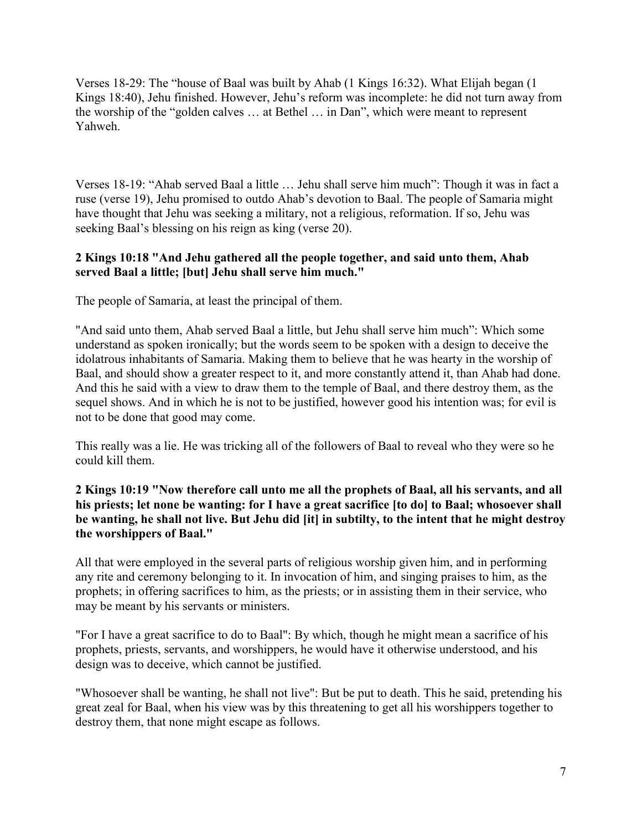Verses 18-29: The "house of Baal was built by Ahab (1 Kings 16:32). What Elijah began (1 Kings 18:40), Jehu finished. However, Jehu's reform was incomplete: he did not turn away from the worship of the "golden calves … at Bethel … in Dan", which were meant to represent Yahweh.

Verses 18-19: "Ahab served Baal a little … Jehu shall serve him much": Though it was in fact a ruse (verse 19), Jehu promised to outdo Ahab's devotion to Baal. The people of Samaria might have thought that Jehu was seeking a military, not a religious, reformation. If so, Jehu was seeking Baal's blessing on his reign as king (verse 20).

## **2 Kings 10:18 "And Jehu gathered all the people together, and said unto them, Ahab served Baal a little; [but] Jehu shall serve him much."**

The people of Samaria, at least the principal of them.

"And said unto them, Ahab served Baal a little, but Jehu shall serve him much": Which some understand as spoken ironically; but the words seem to be spoken with a design to deceive the idolatrous inhabitants of Samaria. Making them to believe that he was hearty in the worship of Baal, and should show a greater respect to it, and more constantly attend it, than Ahab had done. And this he said with a view to draw them to the temple of Baal, and there destroy them, as the sequel shows. And in which he is not to be justified, however good his intention was; for evil is not to be done that good may come.

This really was a lie. He was tricking all of the followers of Baal to reveal who they were so he could kill them.

# **2 Kings 10:19 "Now therefore call unto me all the prophets of Baal, all his servants, and all his priests; let none be wanting: for I have a great sacrifice [to do] to Baal; whosoever shall be wanting, he shall not live. But Jehu did [it] in subtilty, to the intent that he might destroy the worshippers of Baal."**

All that were employed in the several parts of religious worship given him, and in performing any rite and ceremony belonging to it. In invocation of him, and singing praises to him, as the prophets; in offering sacrifices to him, as the priests; or in assisting them in their service, who may be meant by his servants or ministers.

"For I have a great sacrifice to do to Baal": By which, though he might mean a sacrifice of his prophets, priests, servants, and worshippers, he would have it otherwise understood, and his design was to deceive, which cannot be justified.

"Whosoever shall be wanting, he shall not live": But be put to death. This he said, pretending his great zeal for Baal, when his view was by this threatening to get all his worshippers together to destroy them, that none might escape as follows.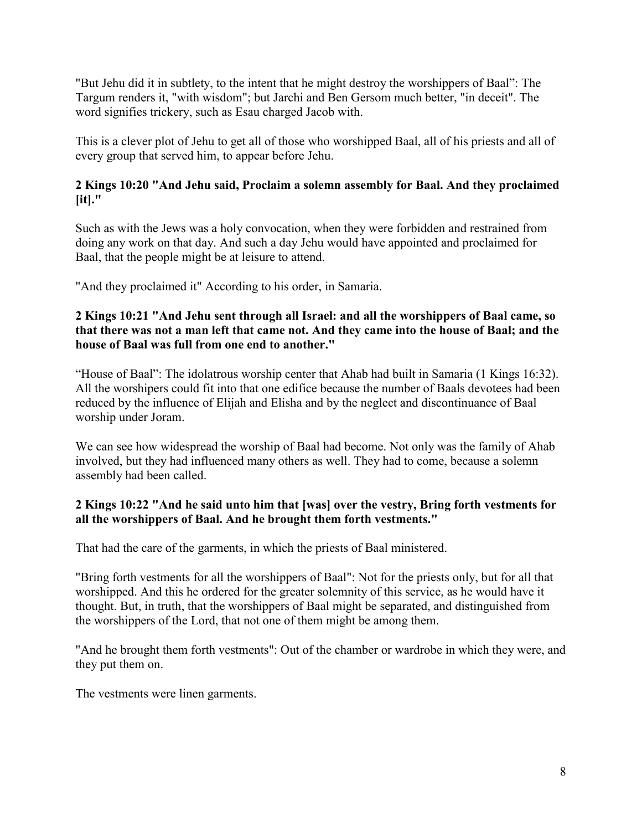"But Jehu did it in subtlety, to the intent that he might destroy the worshippers of Baal": The Targum renders it, "with wisdom"; but Jarchi and Ben Gersom much better, "in deceit". The word signifies trickery, such as Esau charged Jacob with.

This is a clever plot of Jehu to get all of those who worshipped Baal, all of his priests and all of every group that served him, to appear before Jehu.

# **2 Kings 10:20 "And Jehu said, Proclaim a solemn assembly for Baal. And they proclaimed [it]."**

Such as with the Jews was a holy convocation, when they were forbidden and restrained from doing any work on that day. And such a day Jehu would have appointed and proclaimed for Baal, that the people might be at leisure to attend.

"And they proclaimed it" According to his order, in Samaria.

## **2 Kings 10:21 "And Jehu sent through all Israel: and all the worshippers of Baal came, so that there was not a man left that came not. And they came into the house of Baal; and the house of Baal was full from one end to another."**

"House of Baal": The idolatrous worship center that Ahab had built in Samaria (1 Kings 16:32). All the worshipers could fit into that one edifice because the number of Baals devotees had been reduced by the influence of Elijah and Elisha and by the neglect and discontinuance of Baal worship under Joram.

We can see how widespread the worship of Baal had become. Not only was the family of Ahab involved, but they had influenced many others as well. They had to come, because a solemn assembly had been called.

# **2 Kings 10:22 "And he said unto him that [was] over the vestry, Bring forth vestments for all the worshippers of Baal. And he brought them forth vestments."**

That had the care of the garments, in which the priests of Baal ministered.

"Bring forth vestments for all the worshippers of Baal": Not for the priests only, but for all that worshipped. And this he ordered for the greater solemnity of this service, as he would have it thought. But, in truth, that the worshippers of Baal might be separated, and distinguished from the worshippers of the Lord, that not one of them might be among them.

"And he brought them forth vestments": Out of the chamber or wardrobe in which they were, and they put them on.

The vestments were linen garments.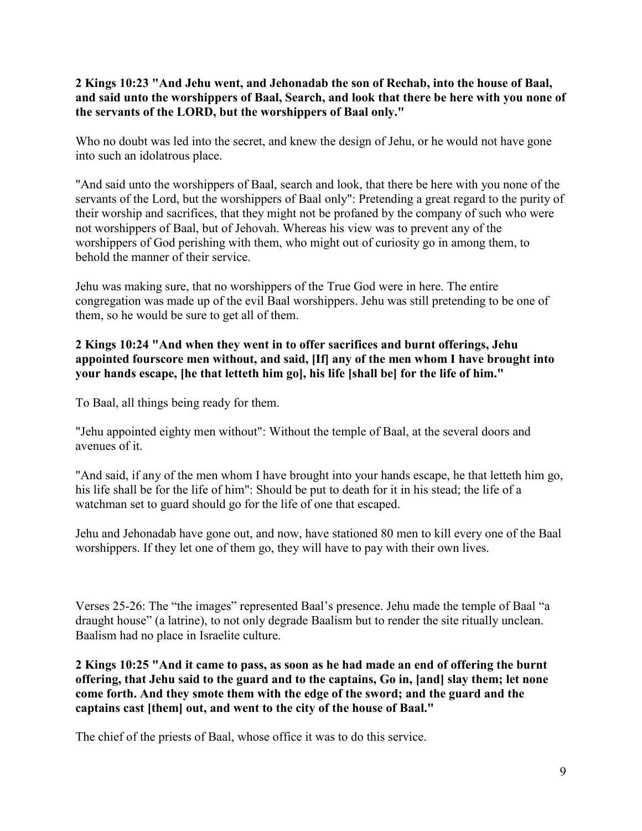# **2 Kings 10:23 "And Jehu went, and Jehonadab the son of Rechab, into the house of Baal, and said unto the worshippers of Baal, Search, and look that there be here with you none of the servants of the LORD, but the worshippers of Baal only."**

Who no doubt was led into the secret, and knew the design of Jehu, or he would not have gone into such an idolatrous place.

"And said unto the worshippers of Baal, search and look, that there be here with you none of the servants of the Lord, but the worshippers of Baal only": Pretending a great regard to the purity of their worship and sacrifices, that they might not be profaned by the company of such who were not worshippers of Baal, but of Jehovah. Whereas his view was to prevent any of the worshippers of God perishing with them, who might out of curiosity go in among them, to behold the manner of their service.

Jehu was making sure, that no worshippers of the True God were in here. The entire congregation was made up of the evil Baal worshippers. Jehu was still pretending to be one of them, so he would be sure to get all of them.

# **2 Kings 10:24 "And when they went in to offer sacrifices and burnt offerings, Jehu appointed fourscore men without, and said, [If] any of the men whom I have brought into your hands escape, [he that letteth him go], his life [shall be] for the life of him."**

To Baal, all things being ready for them.

"Jehu appointed eighty men without": Without the temple of Baal, at the several doors and avenues of it.

"And said, if any of the men whom I have brought into your hands escape, he that letteth him go, his life shall be for the life of him": Should be put to death for it in his stead; the life of a watchman set to guard should go for the life of one that escaped.

Jehu and Jehonadab have gone out, and now, have stationed 80 men to kill every one of the Baal worshippers. If they let one of them go, they will have to pay with their own lives.

Verses 25-26: The "the images" represented Baal's presence. Jehu made the temple of Baal "a draught house" (a latrine), to not only degrade Baalism but to render the site ritually unclean. Baalism had no place in Israelite culture.

**2 Kings 10:25 "And it came to pass, as soon as he had made an end of offering the burnt offering, that Jehu said to the guard and to the captains, Go in, [and] slay them; let none come forth. And they smote them with the edge of the sword; and the guard and the captains cast [them] out, and went to the city of the house of Baal."**

The chief of the priests of Baal, whose office it was to do this service.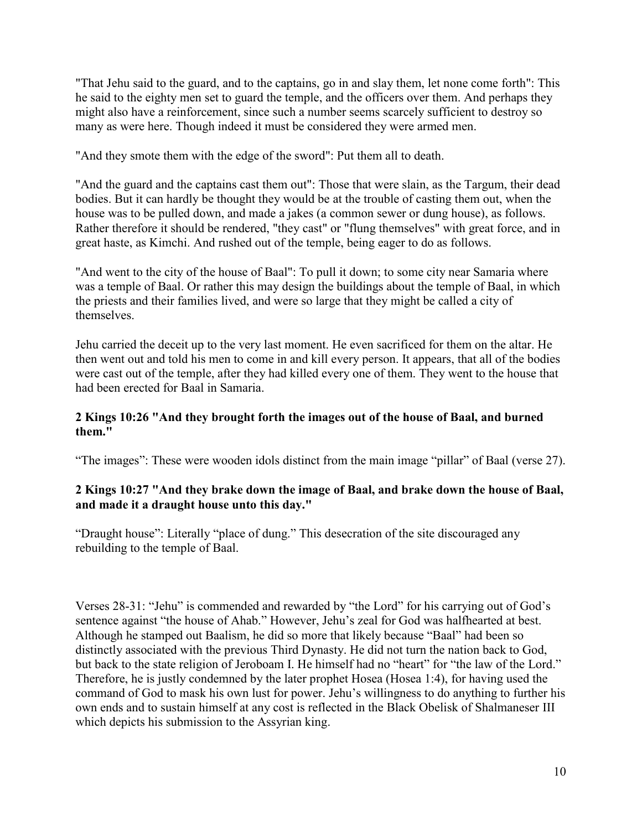"That Jehu said to the guard, and to the captains, go in and slay them, let none come forth": This he said to the eighty men set to guard the temple, and the officers over them. And perhaps they might also have a reinforcement, since such a number seems scarcely sufficient to destroy so many as were here. Though indeed it must be considered they were armed men.

"And they smote them with the edge of the sword": Put them all to death.

"And the guard and the captains cast them out": Those that were slain, as the Targum, their dead bodies. But it can hardly be thought they would be at the trouble of casting them out, when the house was to be pulled down, and made a jakes (a common sewer or dung house), as follows. Rather therefore it should be rendered, "they cast" or "flung themselves" with great force, and in great haste, as Kimchi. And rushed out of the temple, being eager to do as follows.

"And went to the city of the house of Baal": To pull it down; to some city near Samaria where was a temple of Baal. Or rather this may design the buildings about the temple of Baal, in which the priests and their families lived, and were so large that they might be called a city of themselves.

Jehu carried the deceit up to the very last moment. He even sacrificed for them on the altar. He then went out and told his men to come in and kill every person. It appears, that all of the bodies were cast out of the temple, after they had killed every one of them. They went to the house that had been erected for Baal in Samaria.

# **2 Kings 10:26 "And they brought forth the images out of the house of Baal, and burned them."**

"The images": These were wooden idols distinct from the main image "pillar" of Baal (verse 27).

# **2 Kings 10:27 "And they brake down the image of Baal, and brake down the house of Baal, and made it a draught house unto this day."**

"Draught house": Literally "place of dung." This desecration of the site discouraged any rebuilding to the temple of Baal.

Verses 28-31: "Jehu" is commended and rewarded by "the Lord" for his carrying out of God's sentence against "the house of Ahab." However, Jehu's zeal for God was halfhearted at best. Although he stamped out Baalism, he did so more that likely because "Baal" had been so distinctly associated with the previous Third Dynasty. He did not turn the nation back to God, but back to the state religion of Jeroboam I. He himself had no "heart" for "the law of the Lord." Therefore, he is justly condemned by the later prophet Hosea (Hosea 1:4), for having used the command of God to mask his own lust for power. Jehu's willingness to do anything to further his own ends and to sustain himself at any cost is reflected in the Black Obelisk of Shalmaneser III which depicts his submission to the Assyrian king.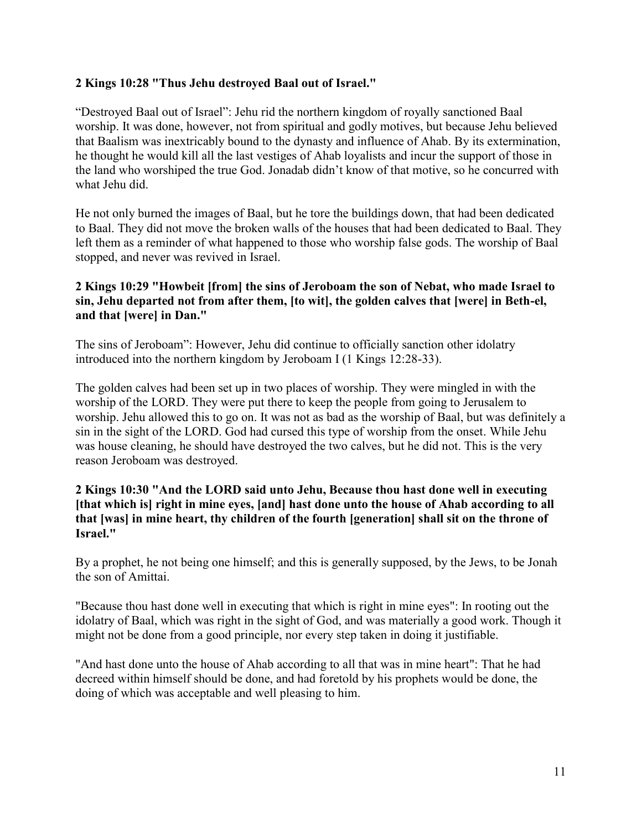# **2 Kings 10:28 "Thus Jehu destroyed Baal out of Israel."**

"Destroyed Baal out of Israel": Jehu rid the northern kingdom of royally sanctioned Baal worship. It was done, however, not from spiritual and godly motives, but because Jehu believed that Baalism was inextricably bound to the dynasty and influence of Ahab. By its extermination, he thought he would kill all the last vestiges of Ahab loyalists and incur the support of those in the land who worshiped the true God. Jonadab didn't know of that motive, so he concurred with what Jehu did.

He not only burned the images of Baal, but he tore the buildings down, that had been dedicated to Baal. They did not move the broken walls of the houses that had been dedicated to Baal. They left them as a reminder of what happened to those who worship false gods. The worship of Baal stopped, and never was revived in Israel.

# **2 Kings 10:29 "Howbeit [from] the sins of Jeroboam the son of Nebat, who made Israel to sin, Jehu departed not from after them, [to wit], the golden calves that [were] in Beth-el, and that [were] in Dan."**

The sins of Jeroboam": However, Jehu did continue to officially sanction other idolatry introduced into the northern kingdom by Jeroboam I (1 Kings 12:28-33).

The golden calves had been set up in two places of worship. They were mingled in with the worship of the LORD. They were put there to keep the people from going to Jerusalem to worship. Jehu allowed this to go on. It was not as bad as the worship of Baal, but was definitely a sin in the sight of the LORD. God had cursed this type of worship from the onset. While Jehu was house cleaning, he should have destroyed the two calves, but he did not. This is the very reason Jeroboam was destroyed.

## **2 Kings 10:30 "And the LORD said unto Jehu, Because thou hast done well in executing [that which is] right in mine eyes, [and] hast done unto the house of Ahab according to all that [was] in mine heart, thy children of the fourth [generation] shall sit on the throne of Israel."**

By a prophet, he not being one himself; and this is generally supposed, by the Jews, to be Jonah the son of Amittai.

"Because thou hast done well in executing that which is right in mine eyes": In rooting out the idolatry of Baal, which was right in the sight of God, and was materially a good work. Though it might not be done from a good principle, nor every step taken in doing it justifiable.

"And hast done unto the house of Ahab according to all that was in mine heart": That he had decreed within himself should be done, and had foretold by his prophets would be done, the doing of which was acceptable and well pleasing to him.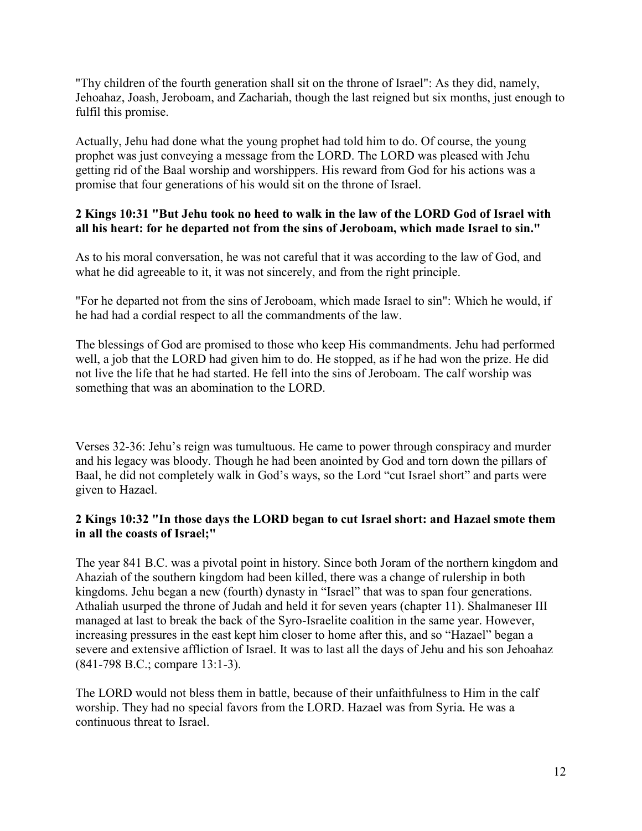"Thy children of the fourth generation shall sit on the throne of Israel": As they did, namely, Jehoahaz, Joash, Jeroboam, and Zachariah, though the last reigned but six months, just enough to fulfil this promise.

Actually, Jehu had done what the young prophet had told him to do. Of course, the young prophet was just conveying a message from the LORD. The LORD was pleased with Jehu getting rid of the Baal worship and worshippers. His reward from God for his actions was a promise that four generations of his would sit on the throne of Israel.

# **2 Kings 10:31 "But Jehu took no heed to walk in the law of the LORD God of Israel with all his heart: for he departed not from the sins of Jeroboam, which made Israel to sin."**

As to his moral conversation, he was not careful that it was according to the law of God, and what he did agreeable to it, it was not sincerely, and from the right principle.

"For he departed not from the sins of Jeroboam, which made Israel to sin": Which he would, if he had had a cordial respect to all the commandments of the law.

The blessings of God are promised to those who keep His commandments. Jehu had performed well, a job that the LORD had given him to do. He stopped, as if he had won the prize. He did not live the life that he had started. He fell into the sins of Jeroboam. The calf worship was something that was an abomination to the LORD.

Verses 32-36: Jehu's reign was tumultuous. He came to power through conspiracy and murder and his legacy was bloody. Though he had been anointed by God and torn down the pillars of Baal, he did not completely walk in God's ways, so the Lord "cut Israel short" and parts were given to Hazael.

# **2 Kings 10:32 "In those days the LORD began to cut Israel short: and Hazael smote them in all the coasts of Israel;"**

The year 841 B.C. was a pivotal point in history. Since both Joram of the northern kingdom and Ahaziah of the southern kingdom had been killed, there was a change of rulership in both kingdoms. Jehu began a new (fourth) dynasty in "Israel" that was to span four generations. Athaliah usurped the throne of Judah and held it for seven years (chapter 11). Shalmaneser III managed at last to break the back of the Syro-Israelite coalition in the same year. However, increasing pressures in the east kept him closer to home after this, and so "Hazael" began a severe and extensive affliction of Israel. It was to last all the days of Jehu and his son Jehoahaz (841-798 B.C.; compare 13:1-3).

The LORD would not bless them in battle, because of their unfaithfulness to Him in the calf worship. They had no special favors from the LORD. Hazael was from Syria. He was a continuous threat to Israel.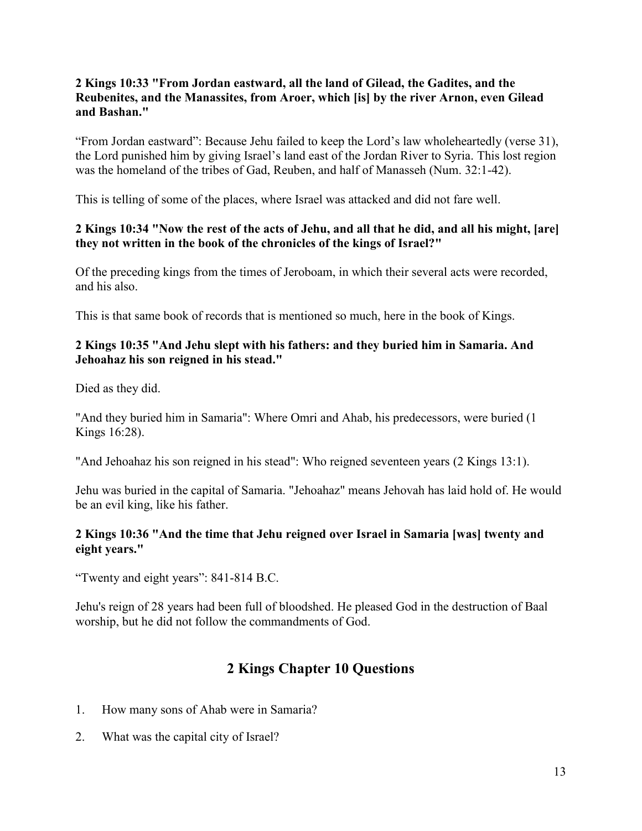## **2 Kings 10:33 "From Jordan eastward, all the land of Gilead, the Gadites, and the Reubenites, and the Manassites, from Aroer, which [is] by the river Arnon, even Gilead and Bashan."**

"From Jordan eastward": Because Jehu failed to keep the Lord's law wholeheartedly (verse 31), the Lord punished him by giving Israel's land east of the Jordan River to Syria. This lost region was the homeland of the tribes of Gad, Reuben, and half of Manasseh (Num. 32:1-42).

This is telling of some of the places, where Israel was attacked and did not fare well.

# **2 Kings 10:34 "Now the rest of the acts of Jehu, and all that he did, and all his might, [are] they not written in the book of the chronicles of the kings of Israel?"**

Of the preceding kings from the times of Jeroboam, in which their several acts were recorded, and his also.

This is that same book of records that is mentioned so much, here in the book of Kings.

#### **2 Kings 10:35 "And Jehu slept with his fathers: and they buried him in Samaria. And Jehoahaz his son reigned in his stead."**

Died as they did.

"And they buried him in Samaria": Where Omri and Ahab, his predecessors, were buried (1 Kings 16:28).

"And Jehoahaz his son reigned in his stead": Who reigned seventeen years (2 Kings 13:1).

Jehu was buried in the capital of Samaria. "Jehoahaz" means Jehovah has laid hold of. He would be an evil king, like his father.

# **2 Kings 10:36 "And the time that Jehu reigned over Israel in Samaria [was] twenty and eight years."**

"Twenty and eight years": 841-814 B.C.

Jehu's reign of 28 years had been full of bloodshed. He pleased God in the destruction of Baal worship, but he did not follow the commandments of God.

# **2 Kings Chapter 10 Questions**

- 1. How many sons of Ahab were in Samaria?
- 2. What was the capital city of Israel?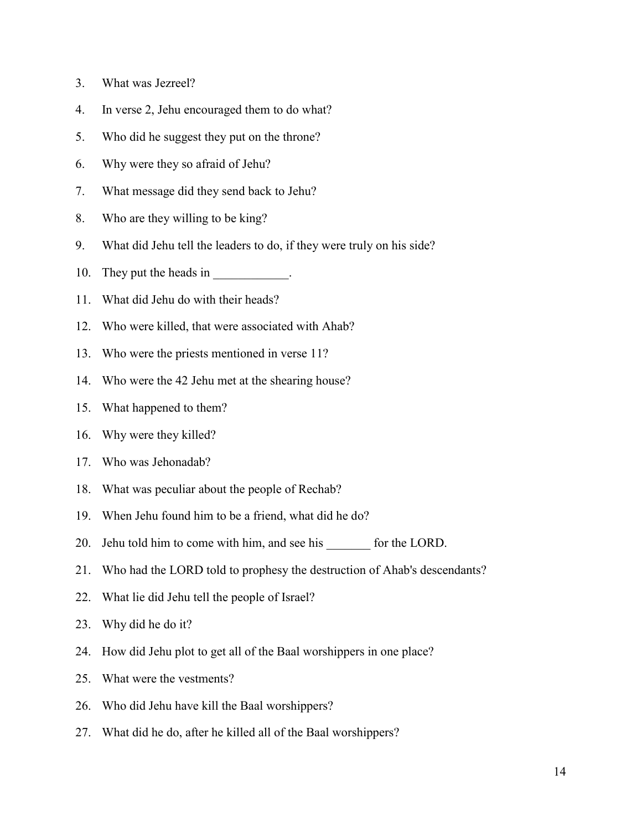- 3. What was Jezreel?
- 4. In verse 2, Jehu encouraged them to do what?
- 5. Who did he suggest they put on the throne?
- 6. Why were they so afraid of Jehu?
- 7. What message did they send back to Jehu?
- 8. Who are they willing to be king?
- 9. What did Jehu tell the leaders to do, if they were truly on his side?
- 10. They put the heads in  $\blacksquare$
- 11. What did Jehu do with their heads?
- 12. Who were killed, that were associated with Ahab?
- 13. Who were the priests mentioned in verse 11?
- 14. Who were the 42 Jehu met at the shearing house?
- 15. What happened to them?
- 16. Why were they killed?
- 17. Who was Jehonadab?
- 18. What was peculiar about the people of Rechab?
- 19. When Jehu found him to be a friend, what did he do?
- 20. Jehu told him to come with him, and see his for the LORD.
- 21. Who had the LORD told to prophesy the destruction of Ahab's descendants?
- 22. What lie did Jehu tell the people of Israel?
- 23. Why did he do it?
- 24. How did Jehu plot to get all of the Baal worshippers in one place?
- 25. What were the vestments?
- 26. Who did Jehu have kill the Baal worshippers?
- 27. What did he do, after he killed all of the Baal worshippers?